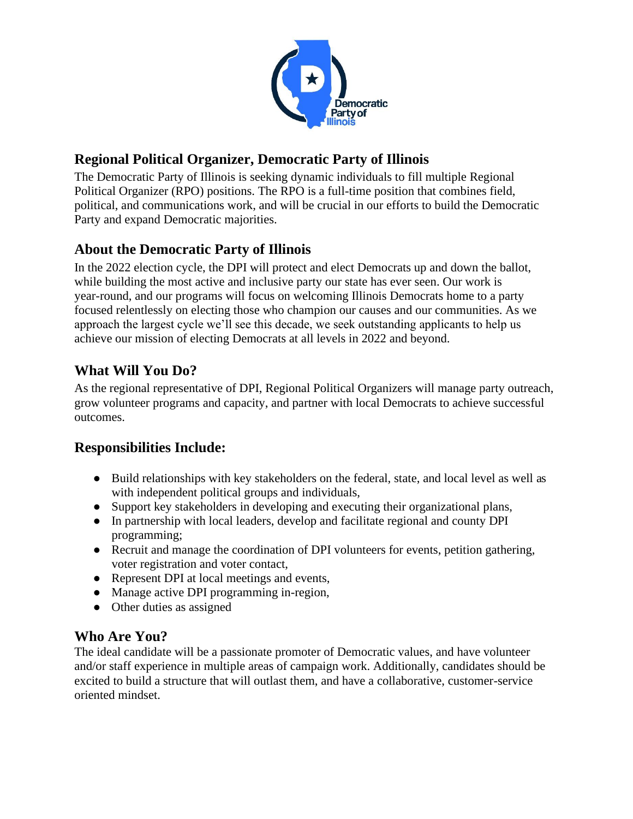

# **Regional Political Organizer, Democratic Party of Illinois**

The Democratic Party of Illinois is seeking dynamic individuals to fill multiple Regional Political Organizer (RPO) positions. The RPO is a full-time position that combines field, political, and communications work, and will be crucial in our efforts to build the Democratic Party and expand Democratic majorities.

# **About the Democratic Party of Illinois**

In the 2022 election cycle, the DPI will protect and elect Democrats up and down the ballot, while building the most active and inclusive party our state has ever seen. Our work is year-round, and our programs will focus on welcoming Illinois Democrats home to a party focused relentlessly on electing those who champion our causes and our communities. As we approach the largest cycle we'll see this decade, we seek outstanding applicants to help us achieve our mission of electing Democrats at all levels in 2022 and beyond.

# **What Will You Do?**

As the regional representative of DPI, Regional Political Organizers will manage party outreach, grow volunteer programs and capacity, and partner with local Democrats to achieve successful outcomes.

### **Responsibilities Include:**

- Build relationships with key stakeholders on the federal, state, and local level as well as with independent political groups and individuals,
- Support key stakeholders in developing and executing their organizational plans,
- In partnership with local leaders, develop and facilitate regional and county DPI programming;
- Recruit and manage the coordination of DPI volunteers for events, petition gathering, voter registration and voter contact,
- Represent DPI at local meetings and events,
- Manage active DPI programming in-region,
- Other duties as assigned

### **Who Are You?**

The ideal candidate will be a passionate promoter of Democratic values, and have volunteer and/or staff experience in multiple areas of campaign work. Additionally, candidates should be excited to build a structure that will outlast them, and have a collaborative, customer-service oriented mindset.